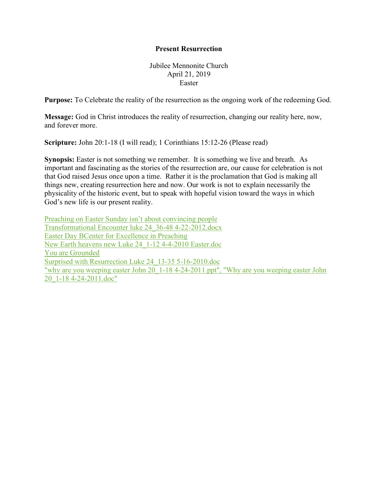## **Present Resurrection**

Jubilee Mennonite Church April 21, 2019 Easter

**Purpose:** To Celebrate the reality of the resurrection as the ongoing work of the redeeming God.

**Message:** God in Christ introduces the reality of resurrection, changing our reality here, now, and forever more.

**Scripture:** John 20:1-18 (I will read); 1 Corinthians 15:12-26 (Please read)

**Synopsis:** Easter is not something we remember. It is something we live and breath. As important and fascinating as the stories of the resurrection are, our cause for celebration is not that God raised Jesus once upon a time. Rather it is the proclamation that God is making all things new, creating resurrection here and now. Our work is not to explain necessarily the physicality of the historic event, but to speak with hopeful vision toward the ways in which God's new life is our present reality.

[Preaching on Easter Sunday isn't about convinci](https://www.evernote.com/shard/s249/nl/31369896/170cb45c-9224-48c2-ad9c-3bdfeed6e1b4)ng people [Transformational Encounter luke 24\\_36-48 4-22-2012.docx](https://www.evernote.com/shard/s249/nl/31369896/241b7d31-3a93-46be-a033-6ebd80148ff3) [Easter Day BCenter for Excellence in Preaching](https://www.evernote.com/shard/s249/nl/31369896/f4879c42-738c-4ff8-9e11-5dbf678cc30f) [New Earth heavens new Luke 24\\_1-12 4-4-2010 Easter.doc](https://www.evernote.com/shard/s249/nl/31369896/4c203463-e728-4d45-86bf-6db65725371a) [You are Grounded](https://www.evernote.com/shard/s249/nl/31369896/ff864af4-255f-44b4-978a-09594ad86524) [Surprised with Resurrection Luke 24\\_13-35 5-16-2010.doc](https://www.evernote.com/shard/s249/nl/31369896/4d0b9c6a-f9e5-4197-9cee-6ab653d39a40) "why are you weeping easter John  $20$  1-18 4-24-2011.ppt", "Why are you weeping easter John [20\\_1-18 4-24-2011.doc"](https://www.evernote.com/shard/s249/nl/31369896/b7e9070a-97a3-4ba8-8a38-f7f418247462)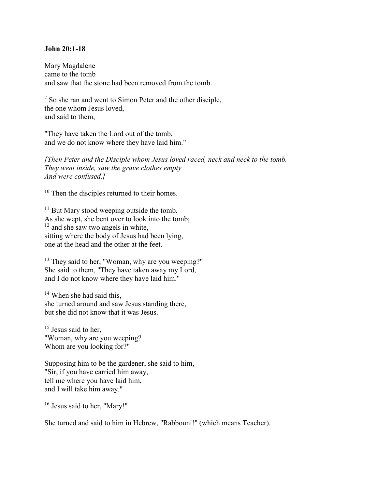## **John 20:1-18**

Mary Magdalene came to the tomb and saw that the stone had been removed from the tomb.

<sup>2</sup> So she ran and went to Simon Peter and the other disciple, the one whom Jesus loved, and said to them,

"They have taken the Lord out of the tomb, and we do not know where they have laid him."

*[Then Peter and the Disciple whom Jesus loved raced, neck and neck to the tomb. They went inside, saw the grave clothes empty And were confused.]*

<sup>10</sup> Then the disciples returned to their homes.

<sup>11</sup> But Mary stood weeping outside the tomb. As she wept, she bent over to look into the tomb;  $12$  and she saw two angels in white, sitting where the body of Jesus had been lying, one at the head and the other at the feet.

<sup>13</sup> They said to her, "Woman, why are you weeping?" She said to them, "They have taken away my Lord, and I do not know where they have laid him."

<sup>14</sup> When she had said this, she turned around and saw Jesus standing there, but she did not know that it was Jesus.

<sup>15</sup> Jesus said to her, "Woman, why are you weeping? Whom are you looking for?"

Supposing him to be the gardener, she said to him, "Sir, if you have carried him away, tell me where you have laid him, and I will take him away."

<sup>16</sup> Jesus said to her, "Mary!"

She turned and said to him in Hebrew, "Rabbouni!" (which means Teacher).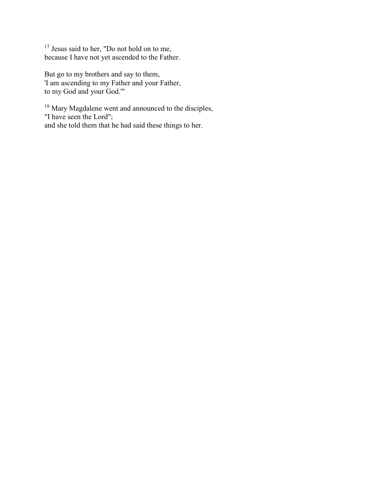<sup>17</sup> Jesus said to her, "Do not hold on to me, because I have not yet ascended to the Father.

But go to my brothers and say to them, 'I am ascending to my Father and your Father, to my God and your God.'"

<sup>18</sup> Mary Magdalene went and announced to the disciples, "I have seen the Lord"; and she told them that he had said these things to her.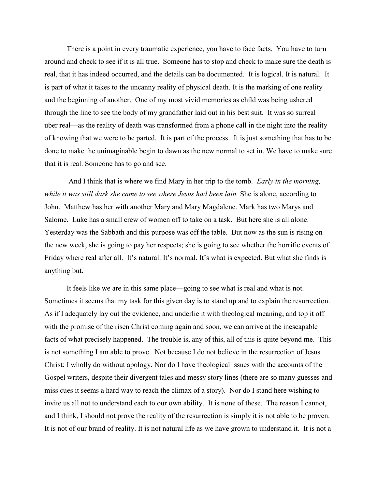There is a point in every traumatic experience, you have to face facts. You have to turn around and check to see if it is all true. Someone has to stop and check to make sure the death is real, that it has indeed occurred, and the details can be documented. It is logical. It is natural. It is part of what it takes to the uncanny reality of physical death. It is the marking of one reality and the beginning of another. One of my most vivid memories as child was being ushered through the line to see the body of my grandfather laid out in his best suit. It was so surreal uber real—as the reality of death was transformed from a phone call in the night into the reality of knowing that we were to be parted. It is part of the process. It is just something that has to be done to make the unimaginable begin to dawn as the new normal to set in. We have to make sure that it is real. Someone has to go and see.

And I think that is where we find Mary in her trip to the tomb. *Early in the morning, while it was still dark she came to see where Jesus had been lain.* She is alone, according to John. Matthew has her with another Mary and Mary Magdalene. Mark has two Marys and Salome. Luke has a small crew of women off to take on a task. But here she is all alone. Yesterday was the Sabbath and this purpose was off the table. But now as the sun is rising on the new week, she is going to pay her respects; she is going to see whether the horrific events of Friday where real after all. It's natural. It's normal. It's what is expected. But what she finds is anything but.

It feels like we are in this same place—going to see what is real and what is not. Sometimes it seems that my task for this given day is to stand up and to explain the resurrection. As if I adequately lay out the evidence, and underlie it with theological meaning, and top it off with the promise of the risen Christ coming again and soon, we can arrive at the inescapable facts of what precisely happened. The trouble is, any of this, all of this is quite beyond me. This is not something I am able to prove. Not because I do not believe in the resurrection of Jesus Christ: I wholly do without apology. Nor do I have theological issues with the accounts of the Gospel writers, despite their divergent tales and messy story lines (there are so many guesses and miss cues it seems a hard way to reach the climax of a story). Nor do I stand here wishing to invite us all not to understand each to our own ability. It is none of these. The reason I cannot, and I think, I should not prove the reality of the resurrection is simply it is not able to be proven. It is not of our brand of reality. It is not natural life as we have grown to understand it. It is not a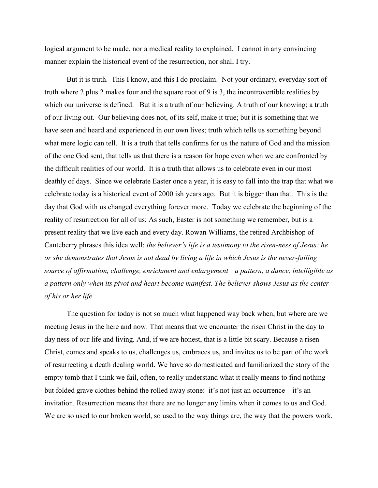logical argument to be made, nor a medical reality to explained. I cannot in any convincing manner explain the historical event of the resurrection, nor shall I try.

But it is truth. This I know, and this I do proclaim. Not your ordinary, everyday sort of truth where 2 plus 2 makes four and the square root of 9 is 3, the incontrovertible realities by which our universe is defined. But it is a truth of our believing. A truth of our knowing; a truth of our living out. Our believing does not, of its self, make it true; but it is something that we have seen and heard and experienced in our own lives; truth which tells us something beyond what mere logic can tell. It is a truth that tells confirms for us the nature of God and the mission of the one God sent, that tells us that there is a reason for hope even when we are confronted by the difficult realities of our world. It is a truth that allows us to celebrate even in our most deathly of days. Since we celebrate Easter once a year, it is easy to fall into the trap that what we celebrate today is a historical event of 2000 ish years ago. But it is bigger than that. This is the day that God with us changed everything forever more. Today we celebrate the beginning of the reality of resurrection for all of us; As such, Easter is not something we remember, but is a present reality that we live each and every day. Rowan Williams, the retired Archbishop of Canteberry phrases this idea well: *the believer's life is a testimony to the risen-ness of Jesus: he or she demonstrates that Jesus is not dead by living a life in which Jesus is the never-failing source of affirmation, challenge, enrichment and enlargement—a pattern, a dance, intelligible as a pattern only when its pivot and heart become manifest. The believer shows Jesus as the center of his or her life.*

The question for today is not so much what happened way back when, but where are we meeting Jesus in the here and now. That means that we encounter the risen Christ in the day to day ness of our life and living. And, if we are honest, that is a little bit scary. Because a risen Christ, comes and speaks to us, challenges us, embraces us, and invites us to be part of the work of resurrecting a death dealing world. We have so domesticated and familiarized the story of the empty tomb that I think we fail, often, to really understand what it really means to find nothing but folded grave clothes behind the rolled away stone: it's not just an occurrence—it's an invitation. Resurrection means that there are no longer any limits when it comes to us and God. We are so used to our broken world, so used to the way things are, the way that the powers work,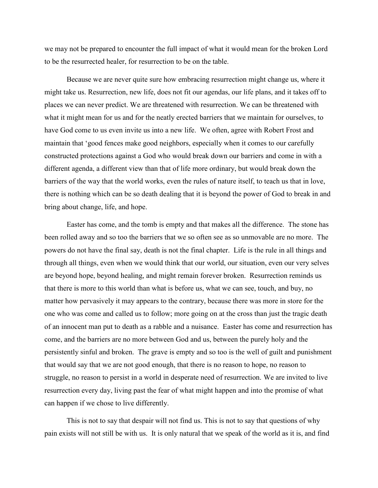we may not be prepared to encounter the full impact of what it would mean for the broken Lord to be the resurrected healer, for resurrection to be on the table.

Because we are never quite sure how embracing resurrection might change us, where it might take us. Resurrection, new life, does not fit our agendas, our life plans, and it takes off to places we can never predict. We are threatened with resurrection. We can be threatened with what it might mean for us and for the neatly erected barriers that we maintain for ourselves, to have God come to us even invite us into a new life. We often, agree with Robert Frost and maintain that 'good fences make good neighbors, especially when it comes to our carefully constructed protections against a God who would break down our barriers and come in with a different agenda, a different view than that of life more ordinary, but would break down the barriers of the way that the world works, even the rules of nature itself, to teach us that in love, there is nothing which can be so death dealing that it is beyond the power of God to break in and bring about change, life, and hope.

Easter has come, and the tomb is empty and that makes all the difference. The stone has been rolled away and so too the barriers that we so often see as so unmovable are no more. The powers do not have the final say, death is not the final chapter. Life is the rule in all things and through all things, even when we would think that our world, our situation, even our very selves are beyond hope, beyond healing, and might remain forever broken. Resurrection reminds us that there is more to this world than what is before us, what we can see, touch, and buy, no matter how pervasively it may appears to the contrary, because there was more in store for the one who was come and called us to follow; more going on at the cross than just the tragic death of an innocent man put to death as a rabble and a nuisance. Easter has come and resurrection has come, and the barriers are no more between God and us, between the purely holy and the persistently sinful and broken. The grave is empty and so too is the well of guilt and punishment that would say that we are not good enough, that there is no reason to hope, no reason to struggle, no reason to persist in a world in desperate need of resurrection. We are invited to live resurrection every day, living past the fear of what might happen and into the promise of what can happen if we chose to live differently.

This is not to say that despair will not find us. This is not to say that questions of why pain exists will not still be with us. It is only natural that we speak of the world as it is, and find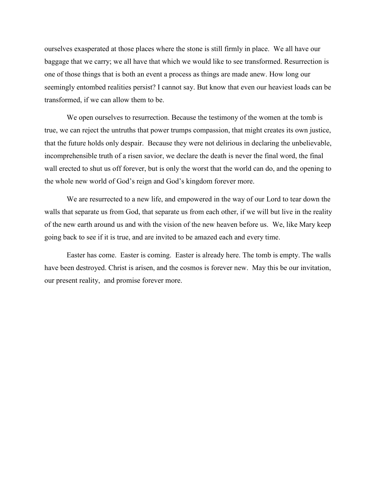ourselves exasperated at those places where the stone is still firmly in place. We all have our baggage that we carry; we all have that which we would like to see transformed. Resurrection is one of those things that is both an event a process as things are made anew. How long our seemingly entombed realities persist? I cannot say. But know that even our heaviest loads can be transformed, if we can allow them to be.

We open ourselves to resurrection. Because the testimony of the women at the tomb is true, we can reject the untruths that power trumps compassion, that might creates its own justice, that the future holds only despair. Because they were not delirious in declaring the unbelievable, incomprehensible truth of a risen savior, we declare the death is never the final word, the final wall erected to shut us off forever, but is only the worst that the world can do, and the opening to the whole new world of God's reign and God's kingdom forever more.

We are resurrected to a new life, and empowered in the way of our Lord to tear down the walls that separate us from God, that separate us from each other, if we will but live in the reality of the new earth around us and with the vision of the new heaven before us. We, like Mary keep going back to see if it is true, and are invited to be amazed each and every time.

Easter has come. Easter is coming. Easter is already here. The tomb is empty. The walls have been destroyed. Christ is arisen, and the cosmos is forever new. May this be our invitation, our present reality, and promise forever more.